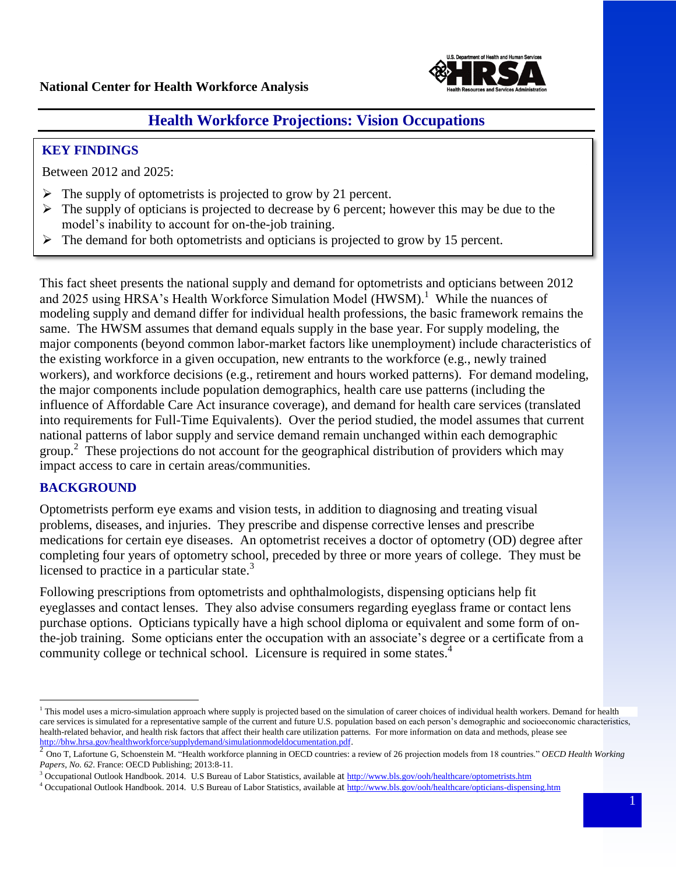

# **Health Workforce Projections: Vision Occupations**

## **KEY FINDINGS**

Between 2012 and 2025:

- $\triangleright$  The supply of optometrists is projected to grow by 21 percent.
- $\triangleright$  The supply of opticians is projected to decrease by 6 percent; however this may be due to the model's inability to account for on-the-job training.
- $\triangleright$  The demand for both optometrists and opticians is projected to grow by 15 percent.

and 2025 using HRSA's Health Workforce Simulation Model (HWSM).<sup>1</sup> While the nuances of the major components include population demographics, health care use patterns (including the influence of Affordable Care Act insurance coverage), and demand for health care services (translated into requirements for Full-Time Equivalents). Over the period studied, the model assumes that current national patterns of labor supply and service demand remain unchanged within each demographic group.<sup>2</sup> These projections do not account for the geographical distribution of providers which may impact access to care in certain areas/communities. This fact sheet presents the national supply and demand for optometrists and opticians between 2012 modeling supply and demand differ for individual health professions, the basic framework remains the same. The HWSM assumes that demand equals supply in the base year. For supply modeling, the major components (beyond common labor-market factors like unemployment) include characteristics of the existing workforce in a given occupation, new entrants to the workforce (e.g., newly trained workers), and workforce decisions (e.g., retirement and hours worked patterns). For demand modeling,

## **BACKGROUND**

 $\overline{a}$ 

 problems, diseases, and injuries. They prescribe and dispense corrective lenses and prescribe medications for certain eye diseases. An optometrist receives a doctor of optometry (OD) degree after Optometrists perform eye exams and vision tests, in addition to diagnosing and treating visual completing four years of optometry school, preceded by three or more years of college. They must be licensed to practice in a particular state. $3$ 

 eyeglasses and contact lenses. They also advise consumers regarding eyeglass frame or contact lens community college or technical school. Licensure is required in some states.<sup>4</sup> Following prescriptions from optometrists and ophthalmologists, dispensing opticians help fit purchase options. Opticians typically have a high school diploma or equivalent and some form of onthe-job training. Some opticians enter the occupation with an associate's degree or a certificate from a

<sup>&</sup>lt;sup>1</sup> This model uses a micro-simulation approach where supply is projected based on the simulation of career choices of individual health workers. Demand for health care services is simulated for a representative sample of the current and future U.S. population based on each person's demographic and socioeconomic characteristics, health-related behavior, and health risk factors that affect their health care utilization patterns. For more information on data and methods, please see [http://bhw.hrsa.gov/healthworkforce/supplydemand/simulationmodeldocumentation.pdf.](http://bhw.hrsa.gov/healthworkforce/supplydemand/simulationmodeldocumentation.pdf)

 2 Ono T, Lafortune G, Schoenstein M. "Health workforce planning in OECD countries: a review of 26 projection models from 18 countries." *OECD Health Working*  Papers, No. 62. France: OECD Publishing; 2013:8-11.

*Papers, No. 62.* France: OECD Publishing; 2013:8-11.<br><sup>3</sup> Occupational Outlook Handbook. 2014. U.S Bureau of Labor Statistics, available at <u>http://www.bls.gov/ooh/healthcare/optometrists.htm</u><br><sup>4</sup> Occupational Outlook Han